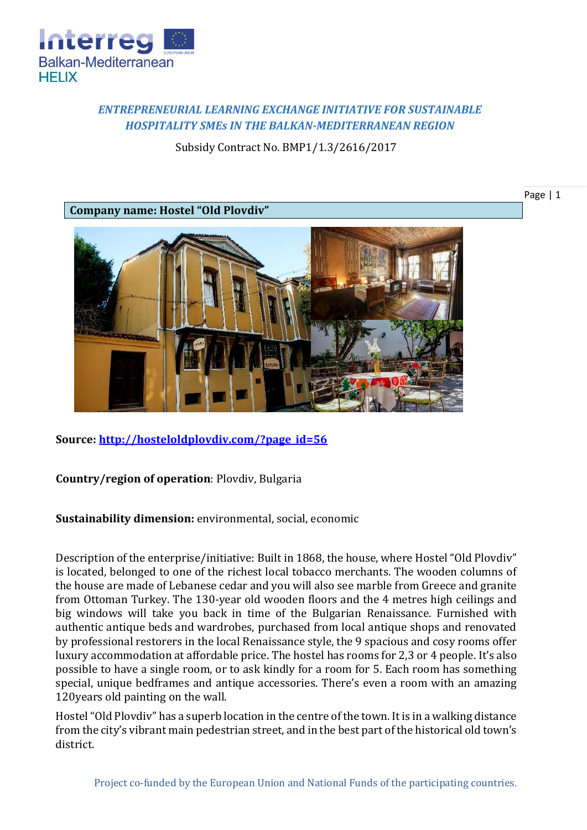

## *ENTREPRENEURIAL LEARNING EXCHANGE INITIATIVE FOR SUSTAINABLE HOSPITALITY SMEs IN THE BALKAN-MEDITERRANEAN REGION*

Subsidy Contract No. BMP1/1.3/2616/2017

Page | 1

**Company name: Hostel "Old Plovdiv"**



**Source: [http://hosteloldplovdiv.com/?page\\_id=56](http://hosteloldplovdiv.com/?page_id=56)**

**Country/region of operation**: Plovdiv, Bulgaria

**Sustainability dimension:** environmental, social, economic

Description of the enterprise/initiative: Built in 1868, the house, where Hostel "Old Plovdiv" is located, belonged to one of the richest local tobacco merchants. The wooden columns of the house are made of Lebanese cedar and you will also see marble from Greece and granite from Ottoman Turkey. The 130-year old wooden floors and the 4 metres high ceilings and big windows will take you back in time of the Bulgarian Renaissance. Furnished with authentic antique beds and wardrobes, purchased from local antique shops and renovated by professional restorers in the local Renaissance style, the 9 spacious and cosy rooms offer luxury accommodation at affordable price. The hostel has rooms for 2,3 or 4 people. It's also possible to have a single room, or to ask kindly for a room for 5. Each room has something special, unique bedframes and antique accessories. There's even a room with an amazing 120years old painting on the wall.

Hostel "Old Plovdiv" has a superb location in the centre of the town. It is in a walking distance from the city's vibrant main pedestrian street, and in the best part of the historical old town's district.